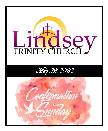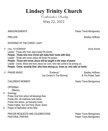**Lindsey Trinity Church**

Confirmation Sunday

May 22, 2022

PRELUDE **Bradley Hoffman** 

ENTERING OF THE CHRIST LIGHT

유 CALL TO WORSHIP Anne Arnold Anne Arnold Anne Arnold Anne Arnold Anne Arnold Anne Arnold Anne Arnold Anne Arnold

Leader: Those who love Jesus keep His words;

**People: Those who love Christ will make their home with God.**

Leader: Those who know Jesus will know His peace;

**People: Those who know Jesus will be taught in the ways of peace.**

Leader: Come, follow and love Jesus our Lord, who has come to be among us.

**People: Come, worship God, who lives among us, loves us, and calls us home.**

 PRAISE MUSIC "Evidence" Bradley Hoffman "Joy Comes In The Morning" & The Praise Team

CHILDREN'S MOMENT **Pastor Travis Montgomery** Pastor Travis Montgomery

**OFFERING** 

**Offertory** 

Doxology

Praise God from whom all blessings flow. Praise Him, all creatures here below. Praise Him above, ye heavenly hosts. Praise Father, Son and Holy Ghost. Amen.

Prayer of Dedication at the Altar

PRAYER REQUESTS AND CELEBRATIONS **PRAYER ALL ASSESS** Pastor Travis Montgomery PASTORAL PRAYER **PASTORAL PRAYER** PASTORAL PRAYER

ANNOUNCEMENTS **Pastor Travis Montgomery**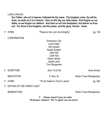#### LORD'S PRAYER

**Our Father, who art in heaven, hallowed be thy name. Thy kingdom come, thy will be done, on earth as it is in heaven. Give us this day our daily bread. And forgive us our debts, as we forgive our debtors. And lead us not into temptation, but deliver us from evil. For thine is the kingdom, and the power, and the glory, forever. Amen**

| pg. 139                  | "Praise to the Lord, the Almighty"                                                               | <b>HYMN</b>                        | ⇧  |  |
|--------------------------|--------------------------------------------------------------------------------------------------|------------------------------------|----|--|
|                          | <b>Emmerson Coe</b><br>Luke Foster<br><b>Ally Greider</b>                                        | <b>CONFIRMATION</b>                |    |  |
|                          | Kaylee Greider<br>Jake Hall<br>Leah Hall<br><b>Karen Hetrick</b><br>Jaydie Lantz<br>Tom Waugaman |                                    |    |  |
| Anne Arnold              | John 14:23-29                                                                                    | <b>SCRIPTURE</b>                   | ╬  |  |
| Pastor Travis Montgomery | If, then, fly.                                                                                   | <b>MEDITATION</b>                  |    |  |
| pg. 462                  | "Tis So Sweet to Trust in Jesus"                                                                 | <b>HYMN</b>                        | 유. |  |
|                          |                                                                                                  | <b>EXITING OF THE CHRIST LIGHT</b> | ╬  |  |
| Pastor Travis Montgomery |                                                                                                  | <b>BENEDICTION</b>                 |    |  |

 *Please stand if you are able.* **Welcome visitors! We're glad you are here!**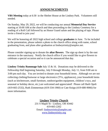### **ANNOUNCEMENTS**

**VBS Meeting** today at 6:30 in the Shelter House at the Lindsey Park. Volunteers still needed.

On Sunday, May 29, 2022, we will be conducting our annual **Memorial Day Service** starting at 10:00 AM at the church and then proceeding to the Lindsey Cemetery for a reading of a Roll Call followed by an Honor Guard salute and the playing of taps. Please invite a friend to join you!

We will be honoring all 2022 high school and college **graduates** in June. To be included in the presentation, please submit a photo to the church office along with name, school graduating from, and plans after graduation at lindseytrinity@amplex.net.

Please consider signing up to donate the **altar flowers**. The sign up sheet is by the east entrance in the sanctuary. Notify the church office if you would like to give flowers to celebrate a special occasion and so it can be announced that day.

**Lindsey Trinity Rummage Sale** July 15 & 16. Donations may be delivered to the Fellowship Hall beginning Saturday, July 9 through Monday, July 11, from 9:00 am to 3:00 pm each day. You are invited to donate your household items. Although we are not collecting clothing/footwear or large electronics (TVs, appliances), your household items (such as kitchenware, small furniture, outdoor/garden equipment, children's toys, and seasonal or holiday decor, etc.) are welcomed and appreciated! Please call Barb Opelt (419-665-2532), Ruth Zimmerman (419-334-1960) or Cate Knipp (419-680-9066) for more information.

### Lindsey Trinity Church

231 S Maple St - Lindsey, OH 43442 419-665-2262 Email: lindseytrinity@amplex.net www.lindseytrinity.org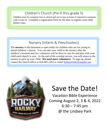## Children's Church (Pre-K thru grade 5)

Children must be symptom free to attend and are to stay at home if exposed to someone with Covid-19. Complete a registration form by the door to register your child before class.

### Nursery (Infants & Preschoolers)

The **nursery** in the basement is open today for children who are too young to attend children's church. You can take your child to the nursery after the children's moment and two volunteers will be there to care for and play with your child until church is over. At the end of the worship service, you will return to the nursery to pick up your child. **We need more volunteers!** To sign up, please contact the church office at 419-665-2262 or email lindseytrinity@amplex.net.



# Save the Date!

Vacation Bible Experience Coming August 2, 3 & 4, 2022  $6:30 - 7:45$  pm @ the Lindsey Park